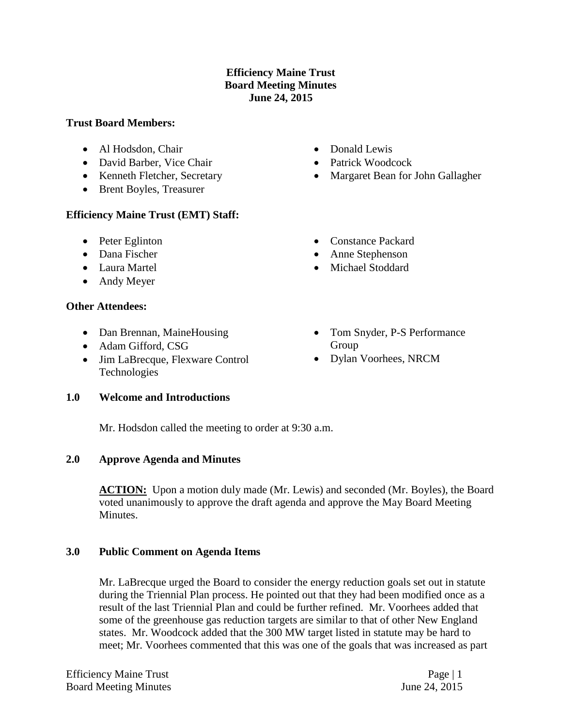### **Efficiency Maine Trust Board Meeting Minutes June 24, 2015**

#### **Trust Board Members:**

- Al Hodsdon, Chair
- David Barber, Vice Chair
- Kenneth Fletcher, Secretary
- Brent Boyles, Treasurer

### **Efficiency Maine Trust (EMT) Staff:**

- Peter Eglinton
- Dana Fischer
- Laura Martel
- Andy Meyer

### **Other Attendees:**

- Dan Brennan, MaineHousing
- Adam Gifford, CSG
- Jim LaBrecque, Flexware Control Technologies

### **1.0 Welcome and Introductions**

Mr. Hodsdon called the meeting to order at 9:30 a.m.

### **2.0 Approve Agenda and Minutes**

**ACTION:** Upon a motion duly made (Mr. Lewis) and seconded (Mr. Boyles), the Board voted unanimously to approve the draft agenda and approve the May Board Meeting Minutes.

### **3.0 Public Comment on Agenda Items**

Mr. LaBrecque urged the Board to consider the energy reduction goals set out in statute during the Triennial Plan process. He pointed out that they had been modified once as a result of the last Triennial Plan and could be further refined. Mr. Voorhees added that some of the greenhouse gas reduction targets are similar to that of other New England states. Mr. Woodcock added that the 300 MW target listed in statute may be hard to meet; Mr. Voorhees commented that this was one of the goals that was increased as part

- Donald Lewis
- Patrick Woodcock
- Margaret Bean for John Gallagher
- Constance Packard
- Anne Stephenson
- Michael Stoddard
- Tom Snyder, P-S Performance Group
- Dylan Voorhees, NRCM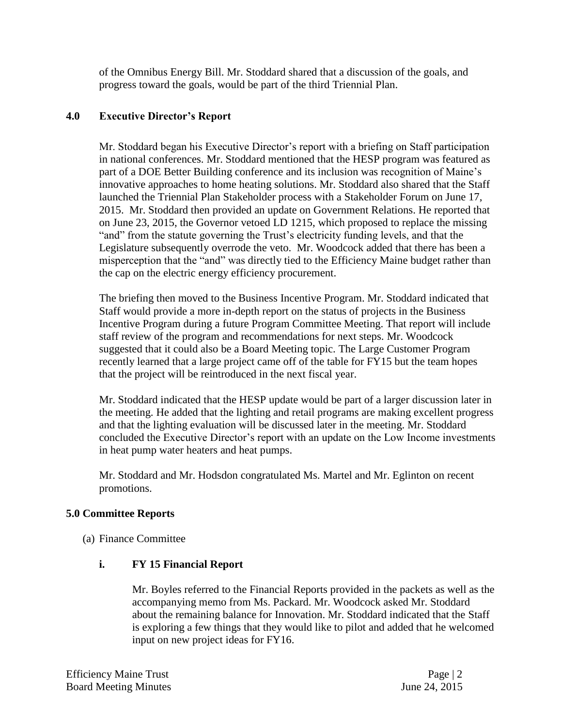of the Omnibus Energy Bill. Mr. Stoddard shared that a discussion of the goals, and progress toward the goals, would be part of the third Triennial Plan.

### **4.0 Executive Director's Report**

Mr. Stoddard began his Executive Director's report with a briefing on Staff participation in national conferences. Mr. Stoddard mentioned that the HESP program was featured as part of a DOE Better Building conference and its inclusion was recognition of Maine's innovative approaches to home heating solutions. Mr. Stoddard also shared that the Staff launched the Triennial Plan Stakeholder process with a Stakeholder Forum on June 17, 2015. Mr. Stoddard then provided an update on Government Relations. He reported that on June 23, 2015, the Governor vetoed LD 1215, which proposed to replace the missing "and" from the statute governing the Trust's electricity funding levels, and that the Legislature subsequently overrode the veto. Mr. Woodcock added that there has been a misperception that the "and" was directly tied to the Efficiency Maine budget rather than the cap on the electric energy efficiency procurement.

The briefing then moved to the Business Incentive Program. Mr. Stoddard indicated that Staff would provide a more in-depth report on the status of projects in the Business Incentive Program during a future Program Committee Meeting. That report will include staff review of the program and recommendations for next steps. Mr. Woodcock suggested that it could also be a Board Meeting topic. The Large Customer Program recently learned that a large project came off of the table for FY15 but the team hopes that the project will be reintroduced in the next fiscal year.

Mr. Stoddard indicated that the HESP update would be part of a larger discussion later in the meeting. He added that the lighting and retail programs are making excellent progress and that the lighting evaluation will be discussed later in the meeting. Mr. Stoddard concluded the Executive Director's report with an update on the Low Income investments in heat pump water heaters and heat pumps.

Mr. Stoddard and Mr. Hodsdon congratulated Ms. Martel and Mr. Eglinton on recent promotions.

### **5.0 Committee Reports**

(a) Finance Committee

### **i. FY 15 Financial Report**

Mr. Boyles referred to the Financial Reports provided in the packets as well as the accompanying memo from Ms. Packard. Mr. Woodcock asked Mr. Stoddard about the remaining balance for Innovation. Mr. Stoddard indicated that the Staff is exploring a few things that they would like to pilot and added that he welcomed input on new project ideas for FY16.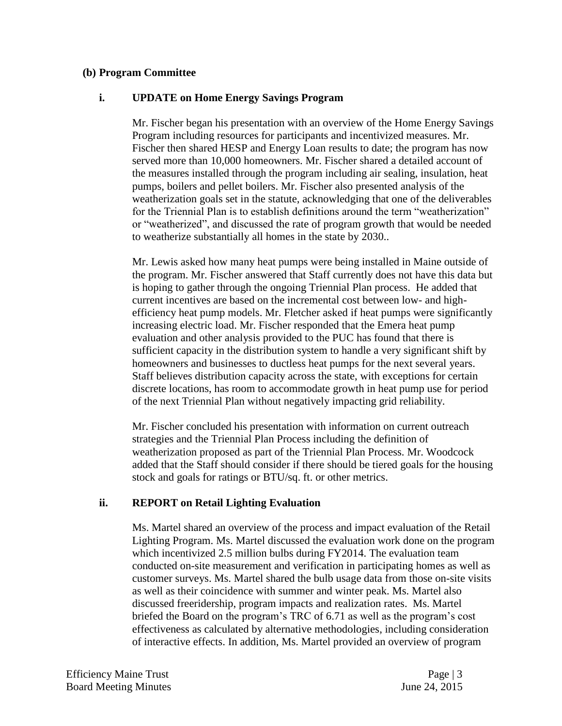#### **(b) Program Committee**

### **i. UPDATE on Home Energy Savings Program**

Mr. Fischer began his presentation with an overview of the Home Energy Savings Program including resources for participants and incentivized measures. Mr. Fischer then shared HESP and Energy Loan results to date; the program has now served more than 10,000 homeowners. Mr. Fischer shared a detailed account of the measures installed through the program including air sealing, insulation, heat pumps, boilers and pellet boilers. Mr. Fischer also presented analysis of the weatherization goals set in the statute, acknowledging that one of the deliverables for the Triennial Plan is to establish definitions around the term "weatherization" or "weatherized", and discussed the rate of program growth that would be needed to weatherize substantially all homes in the state by 2030..

Mr. Lewis asked how many heat pumps were being installed in Maine outside of the program. Mr. Fischer answered that Staff currently does not have this data but is hoping to gather through the ongoing Triennial Plan process. He added that current incentives are based on the incremental cost between low- and highefficiency heat pump models. Mr. Fletcher asked if heat pumps were significantly increasing electric load. Mr. Fischer responded that the Emera heat pump evaluation and other analysis provided to the PUC has found that there is sufficient capacity in the distribution system to handle a very significant shift by homeowners and businesses to ductless heat pumps for the next several years. Staff believes distribution capacity across the state, with exceptions for certain discrete locations, has room to accommodate growth in heat pump use for period of the next Triennial Plan without negatively impacting grid reliability.

Mr. Fischer concluded his presentation with information on current outreach strategies and the Triennial Plan Process including the definition of weatherization proposed as part of the Triennial Plan Process. Mr. Woodcock added that the Staff should consider if there should be tiered goals for the housing stock and goals for ratings or BTU/sq. ft. or other metrics.

### **ii. REPORT on Retail Lighting Evaluation**

Ms. Martel shared an overview of the process and impact evaluation of the Retail Lighting Program. Ms. Martel discussed the evaluation work done on the program which incentivized 2.5 million bulbs during FY2014. The evaluation team conducted on-site measurement and verification in participating homes as well as customer surveys. Ms. Martel shared the bulb usage data from those on-site visits as well as their coincidence with summer and winter peak. Ms. Martel also discussed freeridership, program impacts and realization rates. Ms. Martel briefed the Board on the program's TRC of 6.71 as well as the program's cost effectiveness as calculated by alternative methodologies, including consideration of interactive effects. In addition, Ms. Martel provided an overview of program